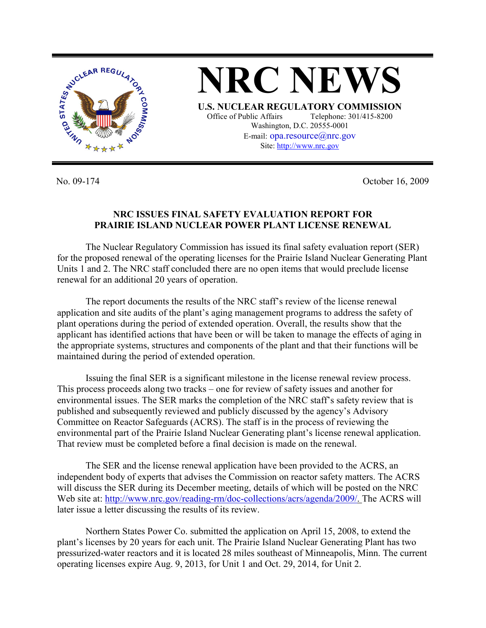

**NRC NEWS U.S. NUCLEAR REGULATORY COMMISSION** Office of Public Affairs Telephone: 301/415-8200 Washington, D.C. 20555-0001 E-mail: opa.resource@nrc.gov Site: http://www.nrc.gov

No. 09-174 October 16, 2009

## **NRC ISSUES FINAL SAFETY EVALUATION REPORT FOR PRAIRIE ISLAND NUCLEAR POWER PLANT LICENSE RENEWAL**

 The Nuclear Regulatory Commission has issued its final safety evaluation report (SER) for the proposed renewal of the operating licenses for the Prairie Island Nuclear Generating Plant Units 1 and 2. The NRC staff concluded there are no open items that would preclude license renewal for an additional 20 years of operation.

 The report documents the results of the NRC staff's review of the license renewal application and site audits of the plant's aging management programs to address the safety of plant operations during the period of extended operation. Overall, the results show that the applicant has identified actions that have been or will be taken to manage the effects of aging in the appropriate systems, structures and components of the plant and that their functions will be maintained during the period of extended operation.

 Issuing the final SER is a significant milestone in the license renewal review process. This process proceeds along two tracks – one for review of safety issues and another for environmental issues. The SER marks the completion of the NRC staff's safety review that is published and subsequently reviewed and publicly discussed by the agency's Advisory Committee on Reactor Safeguards (ACRS). The staff is in the process of reviewing the environmental part of the Prairie Island Nuclear Generating plant's license renewal application. That review must be completed before a final decision is made on the renewal.

 The SER and the license renewal application have been provided to the ACRS, an independent body of experts that advises the Commission on reactor safety matters. The ACRS will discuss the SER during its December meeting, details of which will be posted on the NRC Web site at: http://www.nrc.gov/reading-rm/doc-collections/acrs/agenda/2009/. The ACRS will later issue a letter discussing the results of its review.

 Northern States Power Co. submitted the application on April 15, 2008, to extend the plant's licenses by 20 years for each unit. The Prairie Island Nuclear Generating Plant has two pressurized-water reactors and it is located 28 miles southeast of Minneapolis, Minn. The current operating licenses expire Aug. 9, 2013, for Unit 1 and Oct. 29, 2014, for Unit 2.